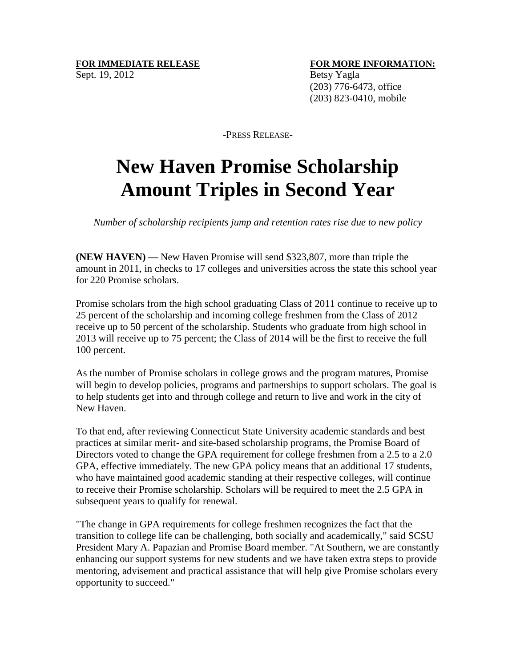## **FOR IMMEDIATE RELEASE <b>FOR MORE INFORMATION:**

 (203) 776-6473, office (203) 823-0410, mobile

-PRESS RELEASE-

## **New Haven Promise Scholarship Amount Triples in Second Year**

*Number of scholarship recipients jump and retention rates rise due to new policy*

**(NEW HAVEN) —** New Haven Promise will send \$323,807, more than triple the amount in 2011, in checks to 17 colleges and universities across the state this school year for 220 Promise scholars.

Promise scholars from the high school graduating Class of 2011 continue to receive up to 25 percent of the scholarship and incoming college freshmen from the Class of 2012 receive up to 50 percent of the scholarship. Students who graduate from high school in 2013 will receive up to 75 percent; the Class of 2014 will be the first to receive the full 100 percent.

As the number of Promise scholars in college grows and the program matures, Promise will begin to develop policies, programs and partnerships to support scholars. The goal is to help students get into and through college and return to live and work in the city of New Haven.

To that end, after reviewing Connecticut State University academic standards and best practices at similar merit- and site-based scholarship programs, the Promise Board of Directors voted to change the GPA requirement for college freshmen from a 2.5 to a 2.0 GPA, effective immediately. The new GPA policy means that an additional 17 students, who have maintained good academic standing at their respective colleges, will continue to receive their Promise scholarship. Scholars will be required to meet the 2.5 GPA in subsequent years to qualify for renewal.

"The change in GPA requirements for college freshmen recognizes the fact that the transition to college life can be challenging, both socially and academically," said SCSU President Mary A. Papazian and Promise Board member. "At Southern, we are constantly enhancing our support systems for new students and we have taken extra steps to provide mentoring, advisement and practical assistance that will help give Promise scholars every opportunity to succeed."